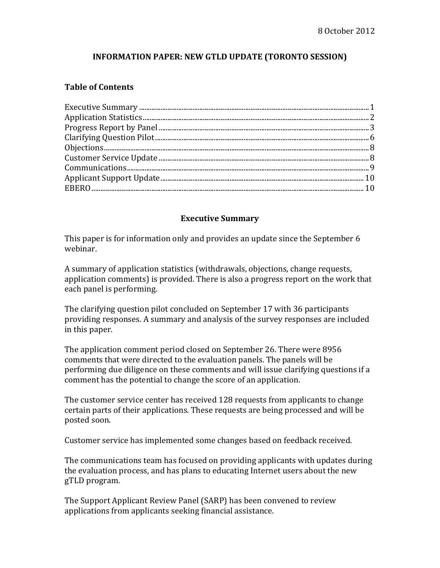### **INFORMATION PAPER: NEW GTLD UPDATE (TORONTO SESSION)**

#### **Table of Contents**

#### **Executive Summary**

This paper is for information only and provides an update since the September 6 webinar.

A summary of application statistics (withdrawals, objections, change requests, application comments) is provided. There is also a progress report on the work that each panel is performing.

The clarifying question pilot concluded on September 17 with 36 participants providing responses. A summary and analysis of the survey responses are included in this paper.

The application comment period closed on September 26. There were 8956 comments that were directed to the evaluation panels. The panels will be performing due diligence on these comments and will issue clarifying questions if a comment has the potential to change the score of an application.

The customer service center has received 128 requests from applicants to change certain parts of their applications. These requests are being processed and will be posted soon.

Customer service has implemented some changes based on feedback received.

The communications team has focused on providing applicants with updates during the evaluation process, and has plans to educating Internet users about the new gTLD program. 

The Support Applicant Review Panel (SARP) has been convened to review applications from applicants seeking financial assistance.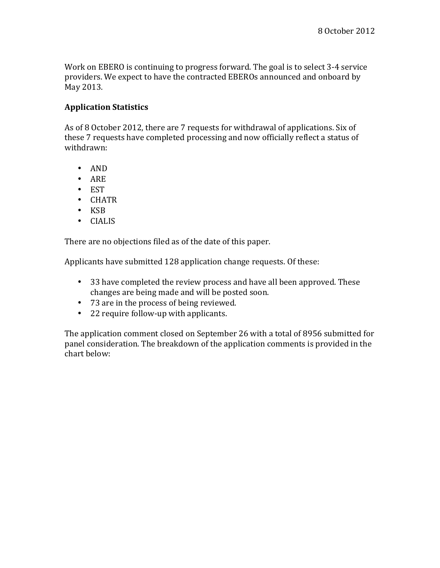Work on EBERO is continuing to progress forward. The goal is to select 3-4 service providers. We expect to have the contracted EBEROs announced and onboard by May 2013.

#### **Application Statistics**

As of 8 October 2012, there are 7 requests for withdrawal of applications. Six of these 7 requests have completed processing and now officially reflect a status of withdrawn:

- AND
- ARE
- EST
- CHATR
- KSB
- CIALIS

There are no objections filed as of the date of this paper.

Applicants have submitted 128 application change requests. Of these:

- 33 have completed the review process and have all been approved. These changes are being made and will be posted soon.
- 73 are in the process of being reviewed.
- 22 require follow-up with applicants.

The application comment closed on September 26 with a total of 8956 submitted for panel consideration. The breakdown of the application comments is provided in the chart below: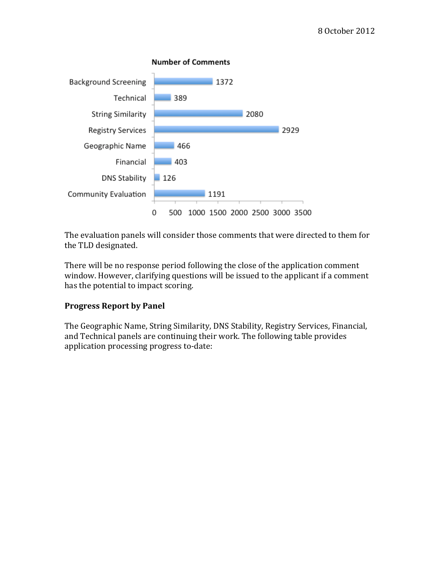

The evaluation panels will consider those comments that were directed to them for the TLD designated.

There will be no response period following the close of the application comment window. However, clarifying questions will be issued to the applicant if a comment has the potential to impact scoring.

# **Progress Report by Panel**

The Geographic Name, String Similarity, DNS Stability, Registry Services, Financial, and Technical panels are continuing their work. The following table provides application processing progress to-date: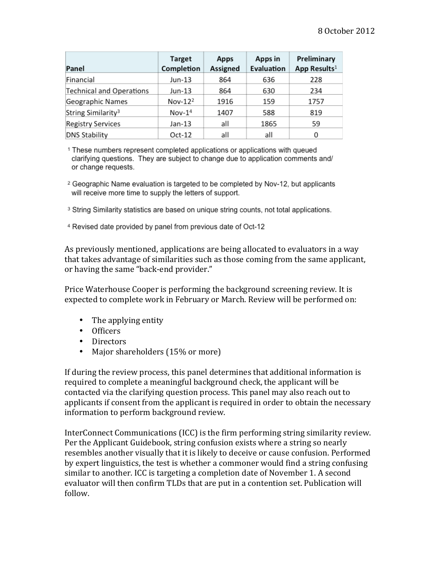| Panel                          | <b>Target</b><br>Completion | Apps<br><b>Assigned</b> | Apps in<br>Evaluation | Preliminary<br>App Results <sup>1</sup> |
|--------------------------------|-----------------------------|-------------------------|-----------------------|-----------------------------------------|
| Financial                      | Jun-13                      | 864                     | 636                   | 228                                     |
| Technical and Operations       | Jun-13                      | 864                     | 630                   | 234                                     |
| Geographic Names               | $Nov-122$                   | 1916                    | 159                   | 1757                                    |
| String Similarity <sup>3</sup> | $Nov-14$                    | 1407                    | 588                   | 819                                     |
| <b>Registry Services</b>       | Jan-13                      | all                     | 1865                  | 59                                      |
| <b>DNS Stability</b>           | $Oct-12$                    | all                     | all                   | 0                                       |

<sup>1</sup> These numbers represent completed applications or applications with queued clarifying questions. They are subject to change due to application comments and/ or change requests.

<sup>2</sup> Geographic Name evaluation is targeted to be completed by Nov-12, but applicants will receive more time to supply the letters of support.

<sup>3</sup> String Similarity statistics are based on unique string counts, not total applications.

4 Revised date provided by panel from previous date of Oct-12

As previously mentioned, applications are being allocated to evaluators in a way that takes advantage of similarities such as those coming from the same applicant, or having the same "back-end provider."

Price Waterhouse Cooper is performing the background screening review. It is expected to complete work in February or March. Review will be performed on:

- The applying entity
- Officers
- Directors
- Major shareholders (15% or more)

If during the review process, this panel determines that additional information is required to complete a meaningful background check, the applicant will be contacted via the clarifying question process. This panel may also reach out to applicants if consent from the applicant is required in order to obtain the necessary information to perform background review.

InterConnect Communications (ICC) is the firm performing string similarity review. Per the Applicant Guidebook, string confusion exists where a string so nearly resembles another visually that it is likely to deceive or cause confusion. Performed by expert linguistics, the test is whether a commoner would find a string confusing similar to another. ICC is targeting a completion date of November 1. A second evaluator will then confirm TLDs that are put in a contention set. Publication will follow.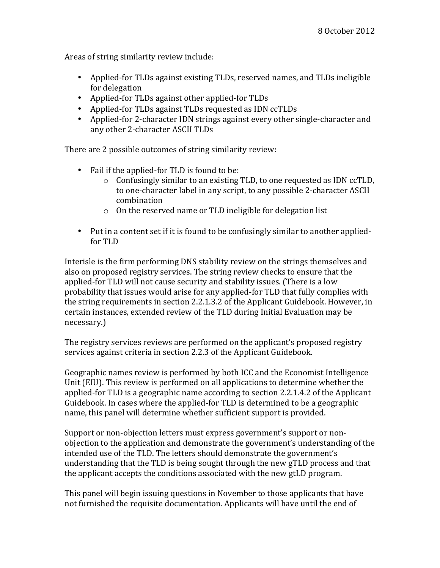Areas of string similarity review include:

- Applied-for TLDs against existing TLDs, reserved names, and TLDs ineligible for delegation
- Applied-for TLDs against other applied-for TLDs
- Applied-for TLDs against TLDs requested as IDN ccTLDs
- Applied-for 2-character IDN strings against every other single-character and any other 2-character ASCII TLDs

There are 2 possible outcomes of string similarity review:

- Fail if the applied-for TLD is found to be:
	- o Confusingly similar to an existing TLD, to one requested as IDN ccTLD, to one-character label in any script, to any possible 2-character ASCII combination
	- $\circ$  On the reserved name or TLD ineligible for delegation list
- Put in a content set if it is found to be confusingly similar to another appliedfor TLD

Interisle is the firm performing DNS stability review on the strings themselves and also on proposed registry services. The string review checks to ensure that the applied-for TLD will not cause security and stability issues. (There is a low probability that issues would arise for any applied-for TLD that fully complies with the string requirements in section 2.2.1.3.2 of the Applicant Guidebook. However, in certain instances, extended review of the TLD during Initial Evaluation may be necessary.)

The registry services reviews are performed on the applicant's proposed registry services against criteria in section 2.2.3 of the Applicant Guidebook.

Geographic names review is performed by both ICC and the Economist Intelligence Unit (EIU). This review is performed on all applications to determine whether the applied-for TLD is a geographic name according to section  $2.2.1.4.2$  of the Applicant Guidebook. In cases where the applied-for TLD is determined to be a geographic name, this panel will determine whether sufficient support is provided.

Support or non-objection letters must express government's support or nonobjection to the application and demonstrate the government's understanding of the intended use of the TLD. The letters should demonstrate the government's understanding that the TLD is being sought through the new gTLD process and that the applicant accepts the conditions associated with the new gtLD program.

This panel will begin issuing questions in November to those applicants that have not furnished the requisite documentation. Applicants will have until the end of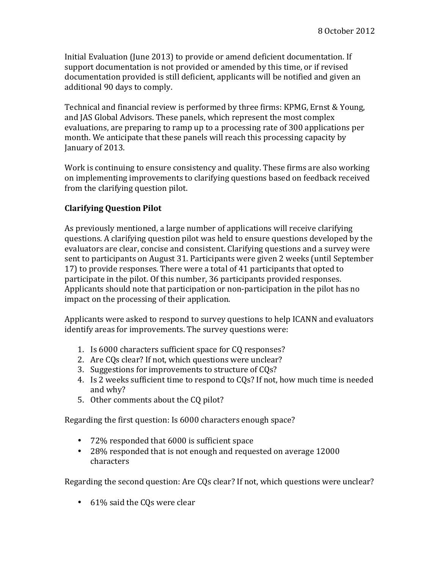Initial Evaluation (June 2013) to provide or amend deficient documentation. If support documentation is not provided or amended by this time, or if revised documentation provided is still deficient, applicants will be notified and given an additional 90 days to comply.

Technical and financial review is performed by three firms: KPMG, Ernst & Young, and JAS Global Advisors. These panels, which represent the most complex evaluations, are preparing to ramp up to a processing rate of 300 applications per month. We anticipate that these panels will reach this processing capacity by January of 2013.

Work is continuing to ensure consistency and quality. These firms are also working on implementing improvements to clarifying questions based on feedback received from the clarifying question pilot.

### **Clarifying Question Pilot**

As previously mentioned, a large number of applications will receive clarifying questions. A clarifying question pilot was held to ensure questions developed by the evaluators are clear, concise and consistent. Clarifying questions and a survey were sent to participants on August 31. Participants were given 2 weeks (until September 17) to provide responses. There were a total of 41 participants that opted to participate in the pilot. Of this number, 36 participants provided responses. Applicants should note that participation or non-participation in the pilot has no impact on the processing of their application.

Applicants were asked to respond to survey questions to help ICANN and evaluators identify areas for improvements. The survey questions were:

- 1. Is 6000 characters sufficient space for CQ responses?
- 2. Are COs clear? If not, which questions were unclear?
- 3. Suggestions for improvements to structure of COs?
- 4. Is 2 weeks sufficient time to respond to COs? If not, how much time is needed and why?
- 5. Other comments about the CQ pilot?

Regarding the first question: Is 6000 characters enough space?

- 72% responded that 6000 is sufficient space
- 28% responded that is not enough and requested on average 12000 characters

Regarding the second question: Are CQs clear? If not, which questions were unclear?

• 61% said the CQs were clear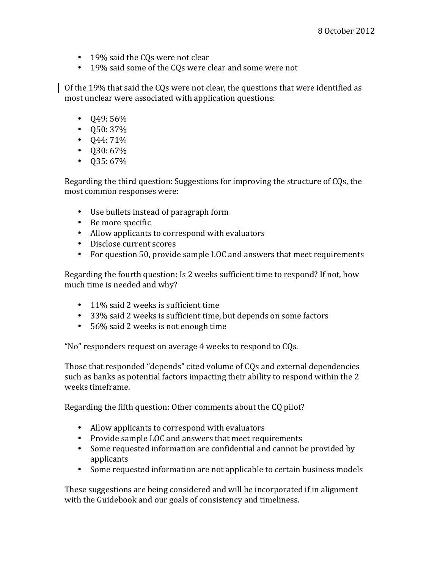- 19% said the CQs were not clear
- 19% said some of the COs were clear and some were not

Of the 19% that said the CQs were not clear, the questions that were identified as most unclear were associated with application questions:

- $\cdot$  049: 56%
- $Q50:37%$
- $Q44:71\%$
- $\cdot$  Q30: 67%
- $\cdot$  Q35: 67%

Regarding the third question: Suggestions for improving the structure of CQs, the most common responses were:

- Use bullets instead of paragraph form
- Be more specific
- Allow applicants to correspond with evaluators
- Disclose current scores
- For question 50, provide sample LOC and answers that meet requirements

Regarding the fourth question: Is 2 weeks sufficient time to respond? If not, how much time is needed and why?

- 11% said 2 weeks is sufficient time
- 33% said 2 weeks is sufficient time, but depends on some factors
- 56% said 2 weeks is not enough time

"No" responders request on average 4 weeks to respond to CQs.

Those that responded "depends" cited volume of CQs and external dependencies such as banks as potential factors impacting their ability to respond within the 2 weeks timeframe.

Regarding the fifth question: Other comments about the CQ pilot?

- Allow applicants to correspond with evaluators
- Provide sample LOC and answers that meet requirements
- Some requested information are confidential and cannot be provided by applicants
- Some requested information are not applicable to certain business models

These suggestions are being considered and will be incorporated if in alignment with the Guidebook and our goals of consistency and timeliness.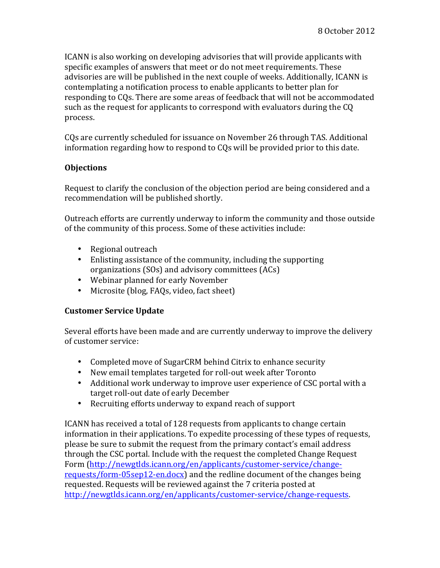ICANN is also working on developing advisories that will provide applicants with specific examples of answers that meet or do not meet requirements. These advisories are will be published in the next couple of weeks. Additionally, ICANN is contemplating a notification process to enable applicants to better plan for responding to CQs. There are some areas of feedback that will not be accommodated such as the request for applicants to correspond with evaluators during the CO process. 

CQs are currently scheduled for issuance on November 26 through TAS. Additional information regarding how to respond to CQs will be provided prior to this date.

### **Objections**

Request to clarify the conclusion of the objection period are being considered and a recommendation will be published shortly.

Outreach efforts are currently underway to inform the community and those outside of the community of this process. Some of these activities include:

- Regional outreach
- Enlisting assistance of the community, including the supporting organizations  $(SOs)$  and advisory committees  $(ACS)$
- Webinar planned for early November
- Microsite (blog, FAQs, video, fact sheet)

#### **Customer Service Update**

Several efforts have been made and are currently underway to improve the delivery of customer service:

- Completed move of SugarCRM behind Citrix to enhance security
- New email templates targeted for roll-out week after Toronto
- Additional work underway to improve user experience of CSC portal with a target roll-out date of early December
- Recruiting efforts underway to expand reach of support

ICANN has received a total of 128 requests from applicants to change certain information in their applications. To expedite processing of these types of requests, please be sure to submit the request from the primary contact's email address through the CSC portal. Include with the request the completed Change Request Form (http://newgtlds.icann.org/en/applicants/customer-service/changerequests/form-05sep12-en.docx) and the redline document of the changes being requested. Requests will be reviewed against the 7 criteria posted at http://newgtlds.icann.org/en/applicants/customer-service/change-requests.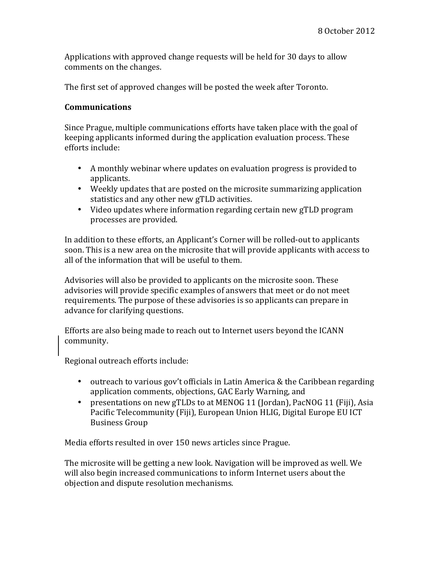Applications with approved change requests will be held for 30 days to allow comments on the changes.

The first set of approved changes will be posted the week after Toronto.

### **Communications**

Since Prague, multiple communications efforts have taken place with the goal of keeping applicants informed during the application evaluation process. These efforts include:

- A monthly webinar where updates on evaluation progress is provided to applicants.
- Weekly updates that are posted on the microsite summarizing application statistics and any other new gTLD activities.
- Video updates where information regarding certain new gTLD program processes are provided.

In addition to these efforts, an Applicant's Corner will be rolled-out to applicants soon. This is a new area on the microsite that will provide applicants with access to all of the information that will be useful to them.

Advisories will also be provided to applicants on the microsite soon. These advisories will provide specific examples of answers that meet or do not meet requirements. The purpose of these advisories is so applicants can prepare in advance for clarifying questions.

Efforts are also being made to reach out to Internet users beyond the ICANN community.

Regional outreach efforts include:

- outreach to various gov't officials in Latin America & the Caribbean regarding application comments, objections, GAC Early Warning, and
- presentations on new gTLDs to at MENOG 11 (Jordan), PacNOG 11 (Fiji), Asia Pacific Telecommunity (Fiji), European Union HLIG, Digital Europe EU ICT Business Group

Media efforts resulted in over 150 news articles since Prague.

The microsite will be getting a new look. Navigation will be improved as well. We will also begin increased communications to inform Internet users about the objection and dispute resolution mechanisms.